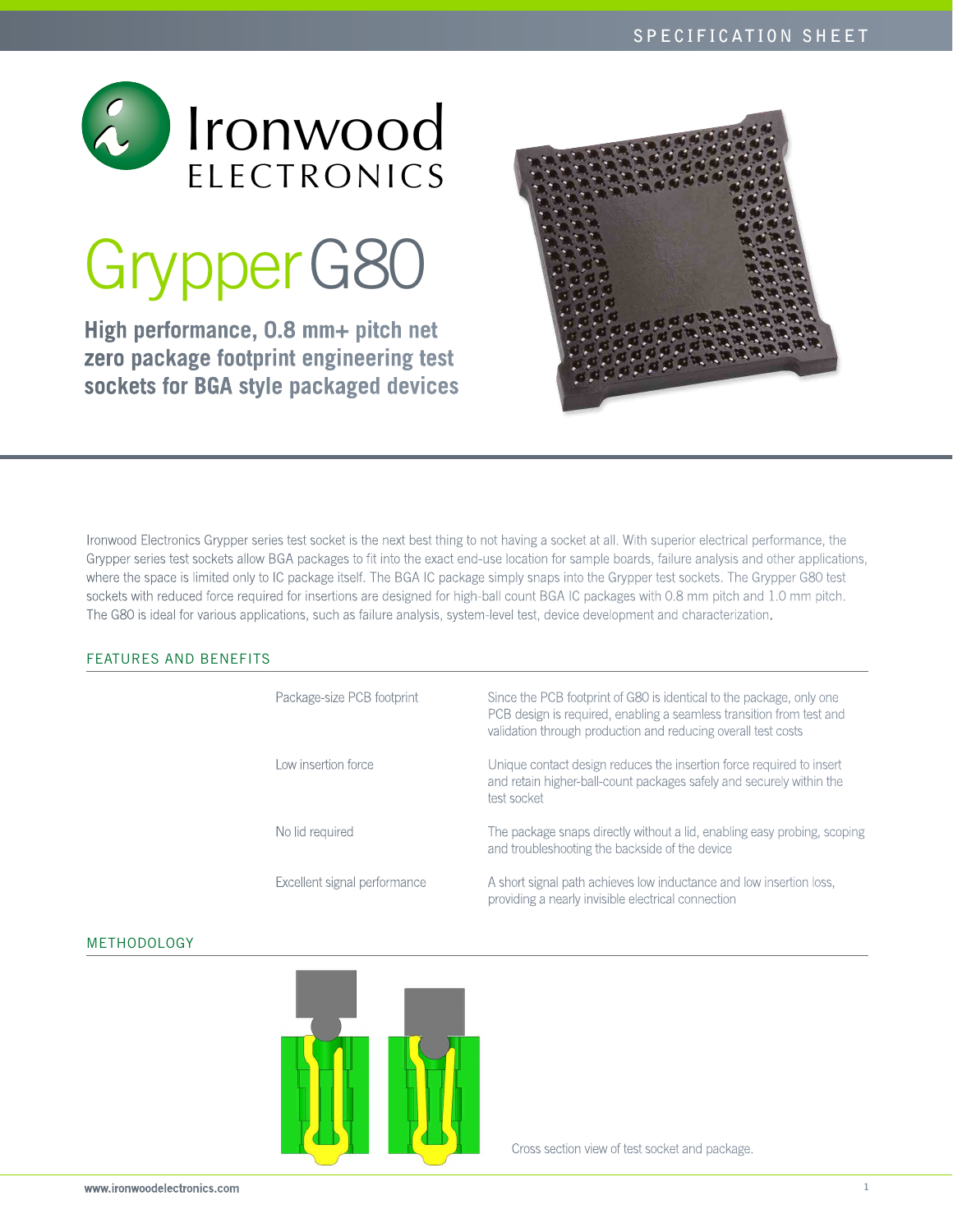

# GrypperG80

**High performance, 0.8 mm+ pitch net zero package footprint engineering test sockets for BGA style packaged devices**



Ironwood Electronics Grypper series test socket is the next best thing to not having a socket at all. With superior electrical performance, the Grypper series test sockets allow BGA packages to fit into the exact end-use location for sample boards, failure analysis and other applications, where the space is limited only to IC package itself. The BGA IC package simply snaps into the Grypper test sockets. The Grypper G80 test sockets with reduced force required for insertions are designed for high-ball count BGA IC packages with 0.8 mm pitch and 1.0 mm pitch. The G80 is ideal for various applications, such as failure analysis, system-level test, device development and characterization.

# FEATURES AND BENEFITS

| Package-size PCB footprint   | Since the PCB footprint of G80 is identical to the package, only one<br>PCB design is required, enabling a seamless transition from test and<br>validation through production and reducing overall test costs |
|------------------------------|---------------------------------------------------------------------------------------------------------------------------------------------------------------------------------------------------------------|
| Low insertion force          | Unique contact design reduces the insertion force required to insert<br>and retain higher-ball-count packages safely and securely within the<br>test socket                                                   |
| No lid required              | The package snaps directly without a lid, enabling easy probing, scoping<br>and troubleshooting the backside of the device                                                                                    |
| Excellent signal performance | A short signal path achieves low inductance and low insertion loss,<br>providing a nearly invisible electrical connection                                                                                     |

### Methodology



Cross section view of test socket and package.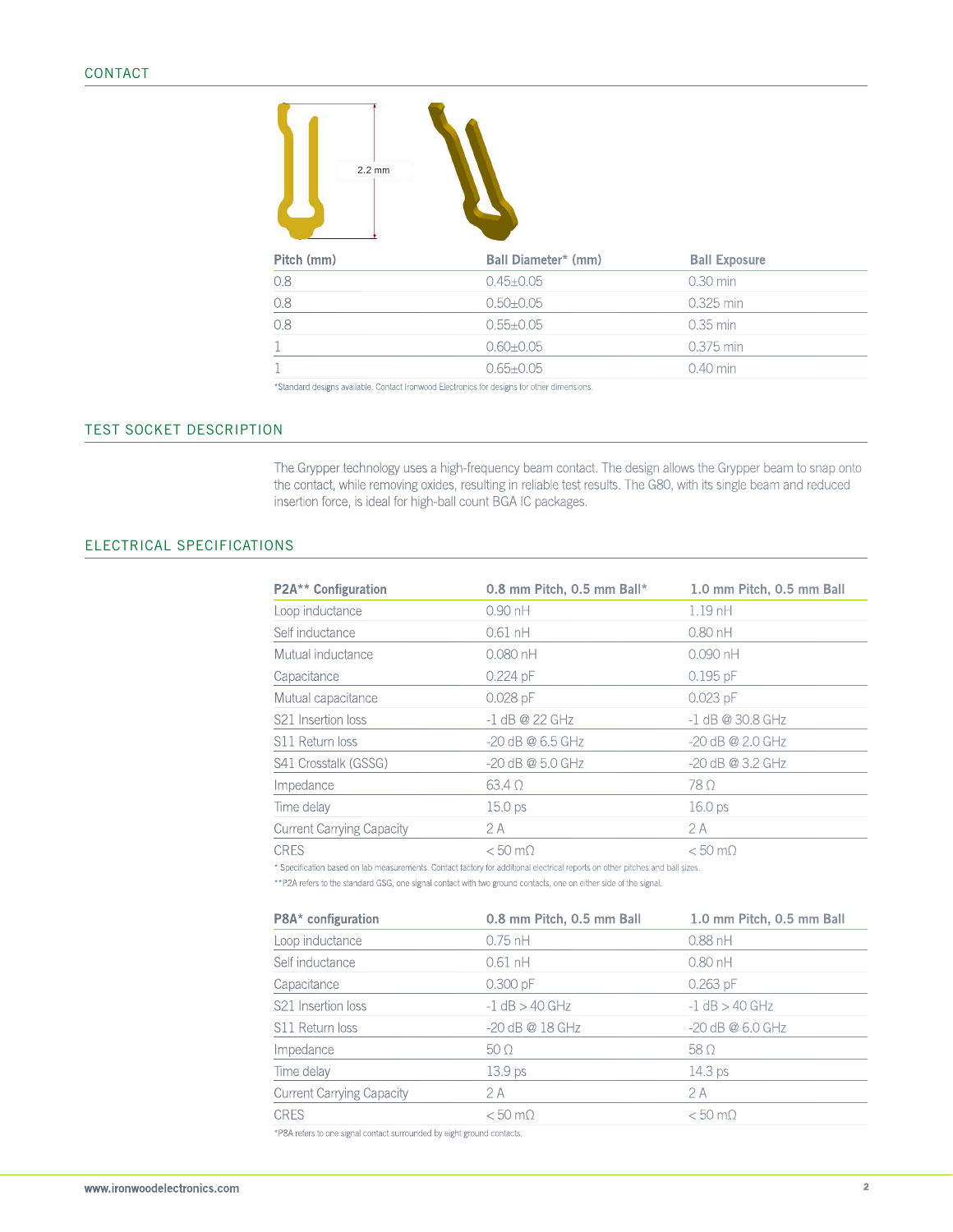

| Pitch (mm) | Ball Diameter* (mm) | <b>Ball Exposure</b> |  |
|------------|---------------------|----------------------|--|
| 0.8        | $0.45 \pm 0.05$     | $0.30$ min           |  |
| 0.8        | $0.50 + 0.05$       | 0.325 min            |  |
| 0.8        | $0.55 + 0.05$       | $0.35$ min           |  |
|            | $0.60 \pm 0.05$     | 0.375 min            |  |
|            | $0.65 \pm 0.05$     | $0.40$ min           |  |
|            |                     |                      |  |

\*Standard designs available. Contact Ironwood Electronics for designs for other dimensions.

# test socket description

The Grypper technology uses a high-frequency beam contact. The design allows the Grypper beam to snap onto the contact, while removing oxides, resulting in reliable test results. The G80, with its single beam and reduced insertion force, is ideal for high-ball count BGA IC packages.

### Electrical SPECIFICATIONS

| P2A** Configuration              | 0.8 mm Pitch, 0.5 mm Ball* | 1.0 mm Pitch, 0.5 mm Ball |
|----------------------------------|----------------------------|---------------------------|
| Loop inductance                  | $0.90$ nH                  | $1.19$ nH                 |
| Self inductance                  | $0.61$ nH                  | $0.80$ nH                 |
| Mutual inductance                | $0.080$ nH                 | $0.090$ nH                |
| Capacitance                      | $0.224$ pF                 | $0.195$ pF                |
| Mutual capacitance               | $0.028$ pF                 | $0.023$ pF                |
| S <sub>21</sub> Insertion loss   | $-1$ dB @ 22 GHz           | $-1$ dB @ 30.8 GHz        |
| S11 Return loss                  | $-20$ dB @ 6.5 GHz         | $-20$ dB @ 2.0 GHz        |
| S41 Crosstalk (GSSG)             | -20 dB @ 5.0 GHz           | $-20$ dB @ 3.2 GHz        |
| Impedance                        | $63.4\Omega$               | $78\Omega$                |
| Time delay                       | 15.0 <sub>ps</sub>         | 16.0 <sub>ps</sub>        |
| <b>Current Carrying Capacity</b> | 2 A                        | 2A                        |
| <b>CRES</b>                      | $< 50 \text{ m}\Omega$     | $< 50 \text{ m}\Omega$    |

\* Specification based on lab measurements. Contact factory for additional electrical reports on other pitches and ball sizes.

\*\*P2A refers to the standard GSG, one signal contact with two ground contacts, one on either side of the signal.

| P8A* configuration               | 0.8 mm Pitch, 0.5 mm Ball | 1.0 mm Pitch, 0.5 mm Ball |
|----------------------------------|---------------------------|---------------------------|
| Loop inductance                  | $0.75$ nH                 | $0.88$ nH                 |
| Self inductance                  | $0.61$ nH                 | $0.80$ nH                 |
| Capacitance                      | $0.300$ pF                | $0.263$ pF                |
| S21 Insertion loss               | $-1$ dB $>$ 40 GHz        | $-1$ dB $>$ 40 GHz        |
| S11 Return loss                  | -20 dB @ 18 GHz           | $-20$ dB @ 6.0 GHz        |
| Impedance                        | $50\,\Omega$              | $58\Omega$                |
| Time delay                       | 13.9 <sub>ps</sub>        | 14.3 <sub>ps</sub>        |
| <b>Current Carrying Capacity</b> | 2 A                       | 2A                        |
| <b>CRES</b>                      | $< 50$ m $\Omega$         | $< 50 \text{ m}\Omega$    |

\*P8A refers to one signal contact surrounded by eight ground contacts.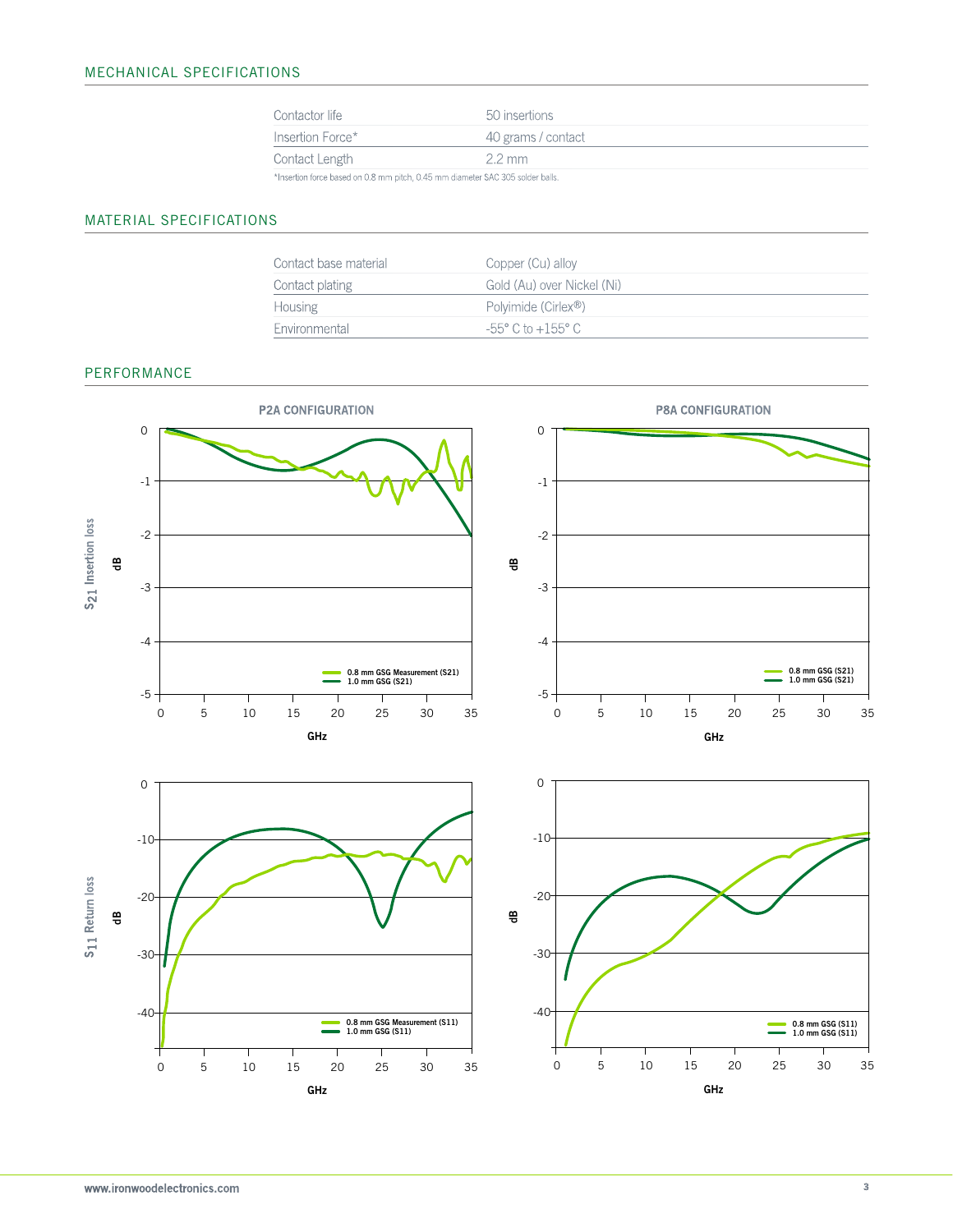| Contactor life                                                                | 50 insertions      |
|-------------------------------------------------------------------------------|--------------------|
| Insertion Force*                                                              | 40 grams / contact |
| Contact Length                                                                | $2.2 \text{ mm}$   |
| *Insertion force based on 0.8 mm pitch, 0.45 mm diameter SAC 305 solder balls |                    |

\*Insertion force based on 0.8 mm pitch, 0.45 mm diameter SAC 305 solder balls.

# MATERIAL SPECIFICATIONS

| Contact base material | Copper (Cu) alloy                    |
|-----------------------|--------------------------------------|
| Contact plating       | Gold (Au) over Nickel (Ni)           |
| Housing               | Polvimide (Cirlex <sup>®</sup> )     |
| <b>Fnvironmental</b>  | $-55^{\circ}$ C to $+155^{\circ}$ C. |

## PERFORMANCE